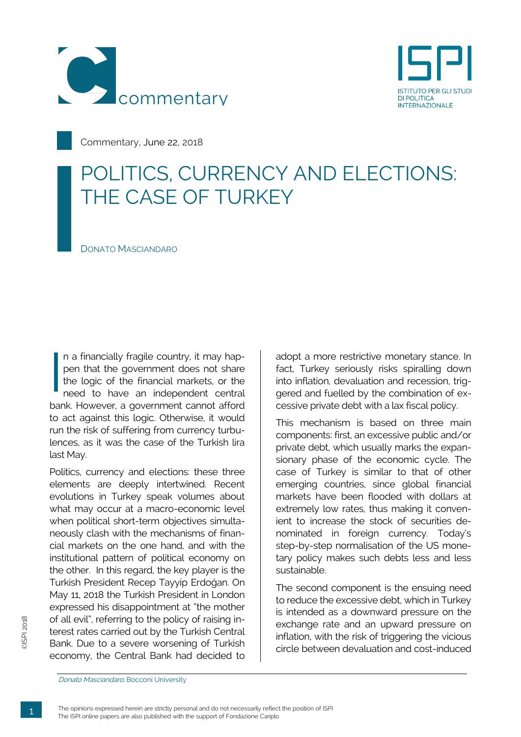



Commentary, June 22, 2018

## POLITICS, CURRENCY AND ELECTIONS: THE CASE OF TURKEY

DONATO MASCIANDARO

n a financially fragile country, it may happen that the government does not share the logic of the financial markets, or the need to have an independent central bank. However, a government cannot afford to act against this logic. Otherwise, it would run the risk of suffering from currency turbulences, as it was the case of the Turkish lira last May. I<br>I<br>I<br>I<br>I<br>I

Politics, currency and elections: these three elements are deeply intertwined. Recent evolutions in Turkey speak volumes about what may occur at a macro-economic level when political short-term objectives simultaneously clash with the mechanisms of financial markets on the one hand, and with the institutional pattern of political economy on the other. In this regard, the key player is the Turkish President Recep Tayyip Erdoğan. On May 11, 2018 the Turkish President in London expressed his disappointment at "the mother of all evil", referring to the policy of raising interest rates carried out by the Turkish Central Bank. Due to a severe worsening of Turkish economy, the Central Bank had decided to

adopt a more restrictive monetary stance. In fact, Turkey seriously risks spiralling down into inflation, devaluation and recession, triggered and fuelled by the combination of excessive private debt with a lax fiscal policy.

This mechanism is based on three main components: first, an excessive public and/or private debt, which usually marks the expansionary phase of the economic cycle. The case of Turkey is similar to that of other emerging countries, since global financial markets have been flooded with dollars at extremely low rates, thus making it convenient to increase the stock of securities denominated in foreign currency. Today's step-by-step normalisation of the US monetary policy makes such debts less and less sustainable.

The second component is the ensuing need to reduce the excessive debt, which in Turkey is intended as a downward pressure on the exchange rate and an upward pressure on inflation, with the risk of triggering the vicious circle between devaluation and cost-induced

Donato Masciandaro, Bocconi University